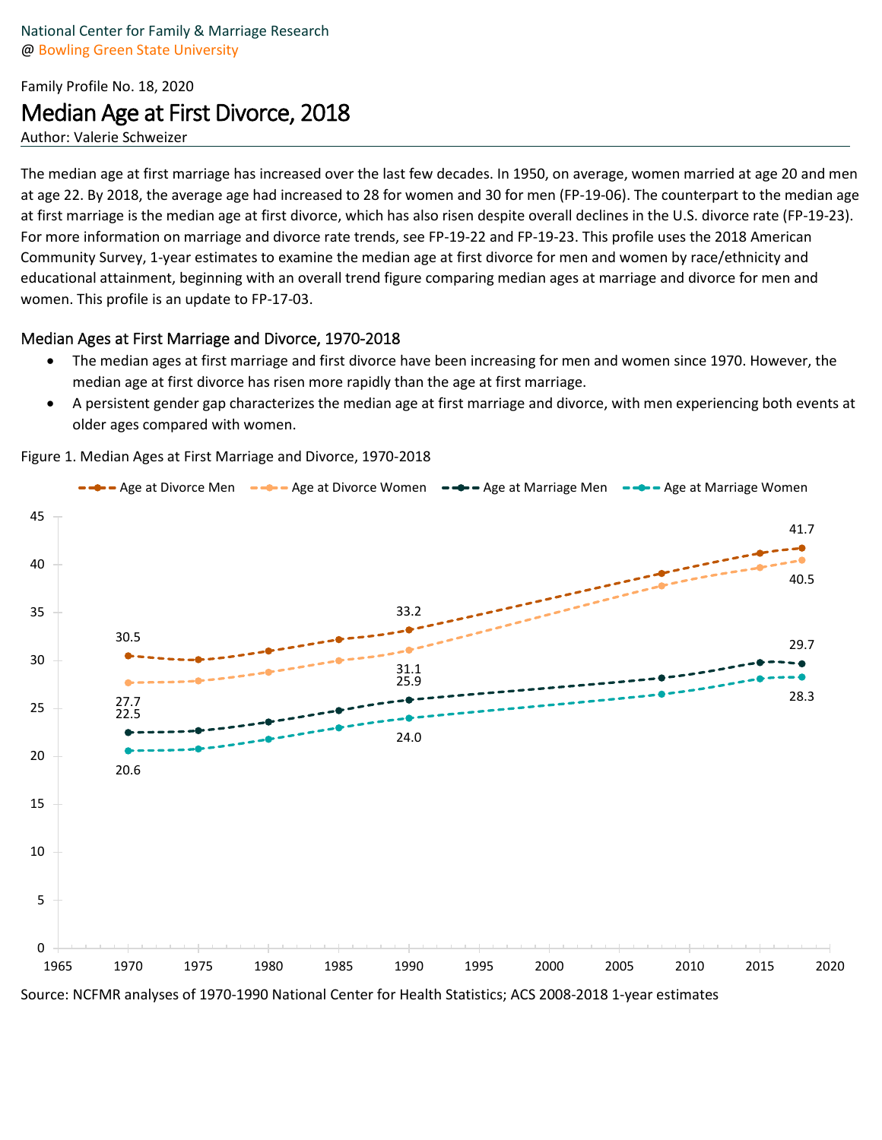# Family Profile No. 18, 2020 Median Age at First Divorce, 2018

Author: Valerie Schweizer

The median age at first marriage has increased over the last few decades. In 1950, on average, women married at age 20 and men at age 22. By 2018, the average age had increased to 28 for women and 30 for men (FP-19-06). The counterpart to the median age at first marriage is the median age at first divorce, which has also risen despite overall declines in the U.S. divorce rate (FP-19-23). For more information on marriage and divorce rate trends, see FP-19-22 and FP-19-23. This profile uses the 2018 American Community Survey, 1-year estimates to examine the median age at first divorce for men and women by race/ethnicity and educational attainment, beginning with an overall trend figure comparing median ages at marriage and divorce for men and women. This profile is an update to FP-17-03.

#### Median Ages at First Marriage and Divorce, 1970-2018

- The median ages at first marriage and first divorce have been increasing for men and women since 1970. However, the median age at first divorce has risen more rapidly than the age at first marriage.
- A persistent gender gap characterizes the median age at first marriage and divorce, with men experiencing both events at older ages compared with women.

Figure 1. Median Ages at First Marriage and Divorce, 1970-2018



Source: NCFMR analyses of 1970-1990 National Center for Health Statistics; ACS 2008-2018 1-year estimates